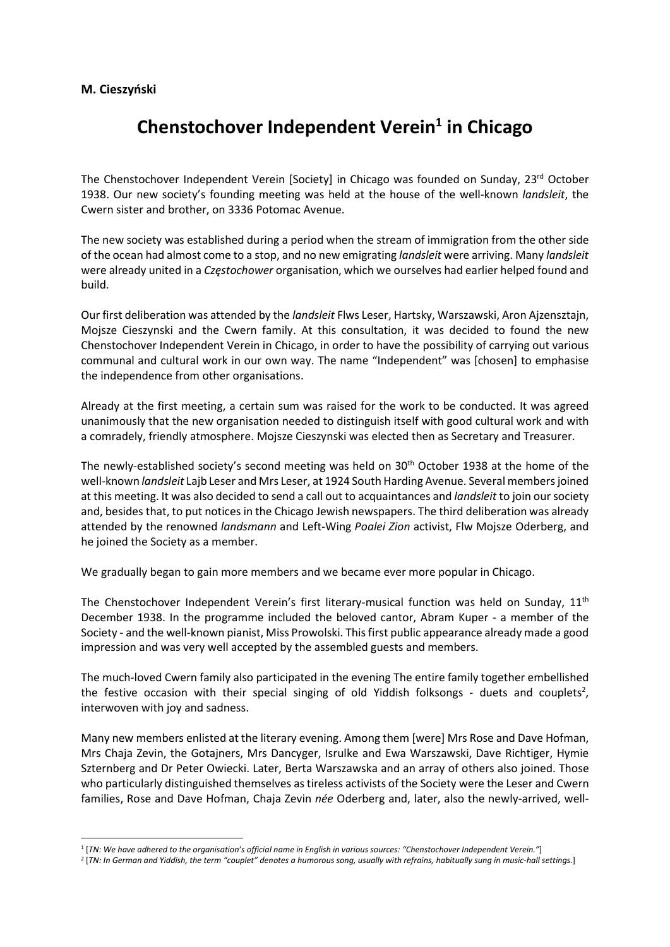## M. Cieszyński

## Chenstochover Independent Verein<sup>1</sup> in Chicago

The Chenstochover Independent Verein [Society] in Chicago was founded on Sunday, 23<sup>rd</sup> October 1938. Our new society's founding meeting was held at the house of the well-known landsleit, the Cwern sister and brother, on 3336 Potomac Avenue.

The new society was established during a period when the stream of immigration from the other side of the ocean had almost come to a stop, and no new emigrating landsleit were arriving. Many landsleit were already united in a Częstochower organisation, which we ourselves had earlier helped found and build.

Our first deliberation was attended by the *landsleit* Flws Leser, Hartsky, Warszawski, Aron Ajzensztajn, Mojsze Cieszynski and the Cwern family. At this consultation, it was decided to found the new Chenstochover Independent Verein in Chicago, in order to have the possibility of carrying out various communal and cultural work in our own way. The name "Independent" was [chosen] to emphasise the independence from other organisations.

Already at the first meeting, a certain sum was raised for the work to be conducted. It was agreed unanimously that the new organisation needed to distinguish itself with good cultural work and with a comradely, friendly atmosphere. Mojsze Cieszynski was elected then as Secretary and Treasurer.

The newly-established society's second meeting was held on 30th October 1938 at the home of the well-known landsleit Lajb Leser and Mrs Leser, at 1924 South Harding Avenue. Several members joined at this meeting. It was also decided to send a call out to acquaintances and landsleit to join our society and, besides that, to put notices in the Chicago Jewish newspapers. The third deliberation was already attended by the renowned landsmann and Left-Wing Poalei Zion activist, Flw Mojsze Oderberg, and he joined the Society as a member.

We gradually began to gain more members and we became ever more popular in Chicago.

The Chenstochover Independent Verein's first literary-musical function was held on Sunday, 11<sup>th</sup> December 1938. In the programme included the beloved cantor, Abram Kuper - a member of the Society - and the well-known pianist, Miss Prowolski. This first public appearance already made a good impression and was very well accepted by the assembled guests and members.

The much-loved Cwern family also participated in the evening The entire family together embellished the festive occasion with their special singing of old Yiddish folksongs - duets and couplets<sup>2</sup>, interwoven with joy and sadness.

Many new members enlisted at the literary evening. Among them [were] Mrs Rose and Dave Hofman, Mrs Chaja Zevin, the Gotajners, Mrs Dancyger, Isrulke and Ewa Warszawski, Dave Richtiger, Hymie Szternberg and Dr Peter Owiecki. Later, Berta Warszawska and an array of others also joined. Those who particularly distinguished themselves as tireless activists of the Society were the Leser and Cwern families, Rose and Dave Hofman, Chaja Zevin née Oderberg and, later, also the newly-arrived, well-

<sup>1</sup> [TN: We have adhered to the organisation's official name in English in various sources: "Chenstochover Independent Verein."]

<sup>2</sup> [TN: In German and Yiddish, the term "couplet" denotes a humorous song, usually with refrains, habitually sung in music-hall settings.]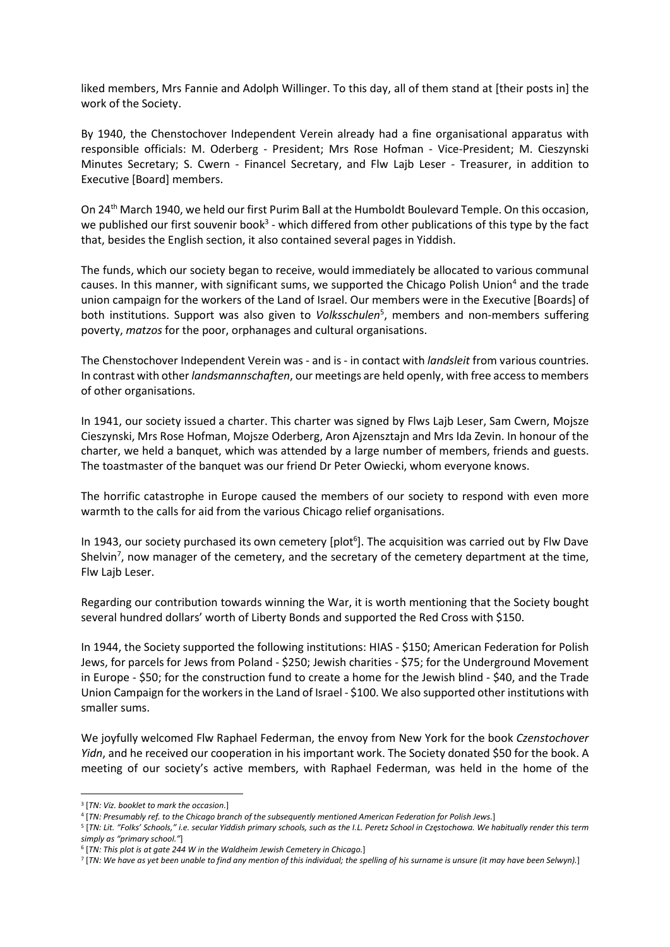liked members, Mrs Fannie and Adolph Willinger. To this day, all of them stand at [their posts in] the work of the Society.

By 1940, the Chenstochover Independent Verein already had a fine organisational apparatus with responsible officials: M. Oderberg - President; Mrs Rose Hofman - Vice-President; M. Cieszynski Minutes Secretary; S. Cwern - Financel Secretary, and Flw Lajb Leser - Treasurer, in addition to Executive [Board] members.

On 24th March 1940, we held our first Purim Ball at the Humboldt Boulevard Temple. On this occasion, we published our first souvenir book<sup>3</sup> - which differed from other publications of this type by the fact that, besides the English section, it also contained several pages in Yiddish.

The funds, which our society began to receive, would immediately be allocated to various communal causes. In this manner, with significant sums, we supported the Chicago Polish Union<sup>4</sup> and the trade union campaign for the workers of the Land of Israel. Our members were in the Executive [Boards] of both institutions. Support was also given to Volksschulen<sup>5</sup>, members and non-members suffering poverty, matzos for the poor, orphanages and cultural organisations.

The Chenstochover Independent Verein was - and is - in contact with *landsleit* from various countries. In contrast with other *landsmannschaften*, our meetings are held openly, with free access to members of other organisations.

In 1941, our society issued a charter. This charter was signed by Flws Lajb Leser, Sam Cwern, Mojsze Cieszynski, Mrs Rose Hofman, Mojsze Oderberg, Aron Ajzensztajn and Mrs Ida Zevin. In honour of the charter, we held a banquet, which was attended by a large number of members, friends and guests. The toastmaster of the banquet was our friend Dr Peter Owiecki, whom everyone knows.

The horrific catastrophe in Europe caused the members of our society to respond with even more warmth to the calls for aid from the various Chicago relief organisations.

In 1943, our society purchased its own cemetery [plot<sup>6</sup>]. The acquisition was carried out by Flw Dave Shelvin<sup>7</sup>, now manager of the cemetery, and the secretary of the cemetery department at the time, Flw Lajb Leser.

Regarding our contribution towards winning the War, it is worth mentioning that the Society bought several hundred dollars' worth of Liberty Bonds and supported the Red Cross with \$150.

In 1944, the Society supported the following institutions: HIAS - \$150; American Federation for Polish Jews, for parcels for Jews from Poland - \$250; Jewish charities - \$75; for the Underground Movement in Europe - \$50; for the construction fund to create a home for the Jewish blind - \$40, and the Trade Union Campaign for the workers in the Land of Israel - \$100. We also supported other institutions with smaller sums.

We joyfully welcomed Flw Raphael Federman, the envoy from New York for the book Czenstochover Yidn, and he received our cooperation in his important work. The Society donated \$50 for the book. A meeting of our society's active members, with Raphael Federman, was held in the home of the

<sup>&</sup>lt;sup>3</sup> [TN: Viz. booklet to mark the occasion.]

<sup>4</sup> [TN: Presumably ref. to the Chicago branch of the subsequently mentioned American Federation for Polish Jews.]

<sup>5</sup> [TN: Lit. "Folks' Schools," i.e. secular Yiddish primary schools, such as the I.L. Peretz School in Częstochowa. We habitually render this term simply as "primary school."]

<sup>&</sup>lt;sup>6</sup> [TN: This plot is at gate 244 W in the Waldheim Jewish Cemetery in Chicago.]

<sup>7</sup> [TN: We have as yet been unable to find any mention of this individual; the spelling of his surname is unsure (it may have been Selwyn).]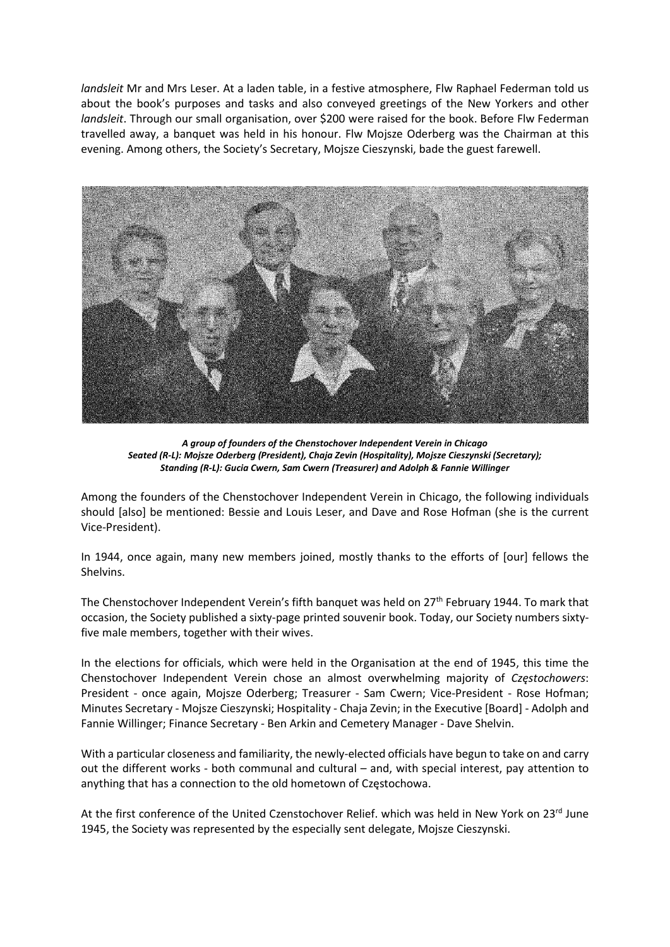landsleit Mr and Mrs Leser. At a laden table, in a festive atmosphere, Flw Raphael Federman told us about the book's purposes and tasks and also conveyed greetings of the New Yorkers and other landsleit. Through our small organisation, over \$200 were raised for the book. Before Flw Federman travelled away, a banquet was held in his honour. Flw Mojsze Oderberg was the Chairman at this evening. Among others, the Society's Secretary, Mojsze Cieszynski, bade the guest farewell.



A group of founders of the Chenstochover Independent Verein in Chicago Seated (R-L): Mojsze Oderberg (President), Chaja Zevin (Hospitality), Mojsze Cieszynski (Secretary); Standing (R-L): Gucia Cwern, Sam Cwern (Treasurer) and Adolph & Fannie Willinger

Among the founders of the Chenstochover Independent Verein in Chicago, the following individuals should [also] be mentioned: Bessie and Louis Leser, and Dave and Rose Hofman (she is the current Vice-President).

In 1944, once again, many new members joined, mostly thanks to the efforts of [our] fellows the Shelvins.

The Chenstochover Independent Verein's fifth banquet was held on 27th February 1944. To mark that occasion, the Society published a sixty-page printed souvenir book. Today, our Society numbers sixtyfive male members, together with their wives.

In the elections for officials, which were held in the Organisation at the end of 1945, this time the Chenstochover Independent Verein chose an almost overwhelming majority of Częstochowers: President - once again, Mojsze Oderberg; Treasurer - Sam Cwern; Vice-President - Rose Hofman; Minutes Secretary - Mojsze Cieszynski; Hospitality - Chaja Zevin; in the Executive [Board] - Adolph and Fannie Willinger; Finance Secretary - Ben Arkin and Cemetery Manager - Dave Shelvin.

With a particular closeness and familiarity, the newly-elected officials have begun to take on and carry out the different works - both communal and cultural – and, with special interest, pay attention to anything that has a connection to the old hometown of Częstochowa.

At the first conference of the United Czenstochover Relief. which was held in New York on 23rd June 1945, the Society was represented by the especially sent delegate, Mojsze Cieszynski.